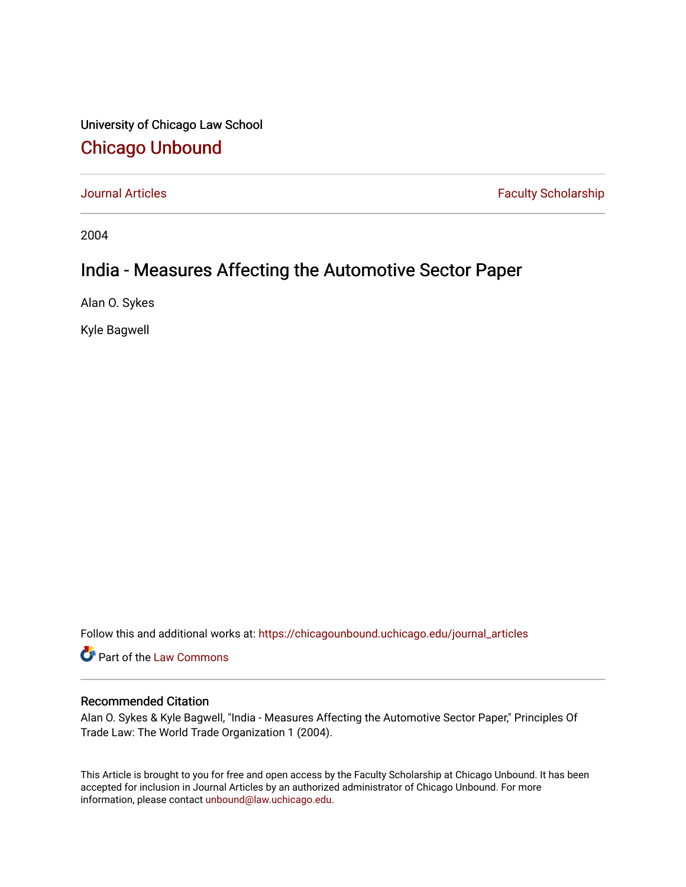University of Chicago Law School [Chicago Unbound](https://chicagounbound.uchicago.edu/)

[Journal Articles](https://chicagounbound.uchicago.edu/journal_articles) **Faculty Scholarship Journal Articles** 

2004

# India - Measures Affecting the Automotive Sector Paper

Alan O. Sykes

Kyle Bagwell

Follow this and additional works at: [https://chicagounbound.uchicago.edu/journal\\_articles](https://chicagounbound.uchicago.edu/journal_articles?utm_source=chicagounbound.uchicago.edu%2Fjournal_articles%2F9705&utm_medium=PDF&utm_campaign=PDFCoverPages) 

Part of the [Law Commons](http://network.bepress.com/hgg/discipline/578?utm_source=chicagounbound.uchicago.edu%2Fjournal_articles%2F9705&utm_medium=PDF&utm_campaign=PDFCoverPages)

### Recommended Citation

Alan O. Sykes & Kyle Bagwell, "India - Measures Affecting the Automotive Sector Paper," Principles Of Trade Law: The World Trade Organization 1 (2004).

This Article is brought to you for free and open access by the Faculty Scholarship at Chicago Unbound. It has been accepted for inclusion in Journal Articles by an authorized administrator of Chicago Unbound. For more information, please contact [unbound@law.uchicago.edu](mailto:unbound@law.uchicago.edu).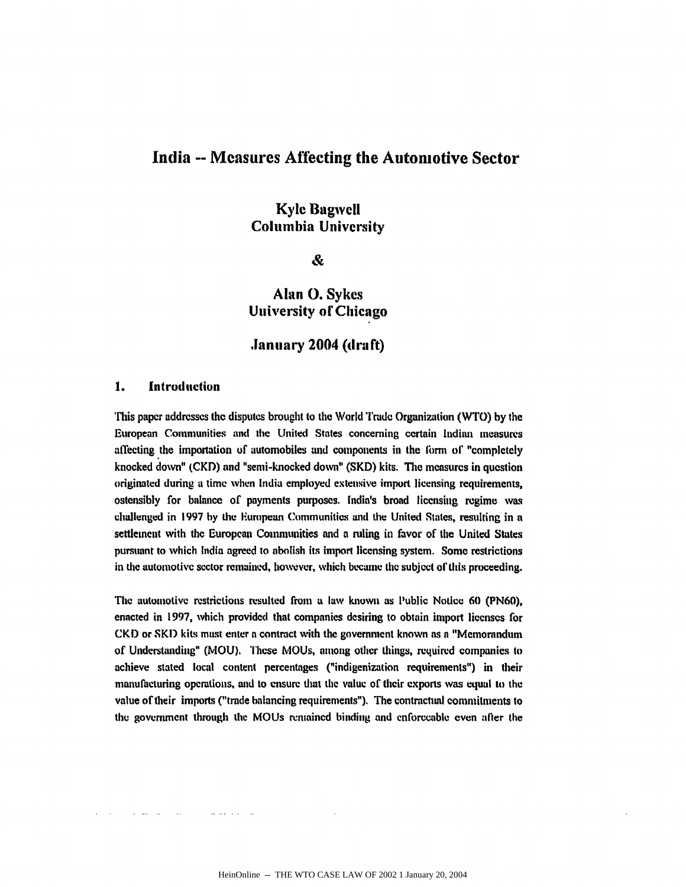# India **--** Measures Affecting the Automotive Sector

# **Kyle** Bagwell Columbia University

**&**

Alan **0.** Sykes University of Chicago

## **January** 2004 **(draft)**

### **1. Introduction**

This paper addresses the disputes brought to the World **Trade** Organization (WTO) **by** the European Communities and the United States concerning certain Indian measures affecting the importation **of** automobiles and components in the lbrm of "completely knocked down" (CKD) and "semi-knocked down" (SKD) kits. The measures in question originated during a time when India employed extensive import licensing requirements, ostensibly for balance of payments purposes. India's broad licensing regime was challenged in **1997 by** the European Communities and the United States, resulting in **a** settlement with the European Communities and a ruling in favor of the United States pursuant to which India agreed to abolish its import licensing system. Some restrictions **in** die automotive sector remained, however, which became the subject ol'this proceeding.

The automotive restrictions resulted from **a** law luown as Public Notice **60 (PN60),** enacted in **1997,** which provided that companies desiring to obtain import licenses for CKD or SKI) kits must enter **a** contract with the government known as a "Memorandum of Understanding" **(MOU). These** MOUs, among other things, required companies to achieve stated local content percentages ("indigenization requirements") in their manufacturing operations, and to ensure that the value of their exports **was** equal **to** the value of their imports ("trade balancing requirements"). The contractual commitments to the government through the MOUs remained binding and enforceable even afler the

salar sa barang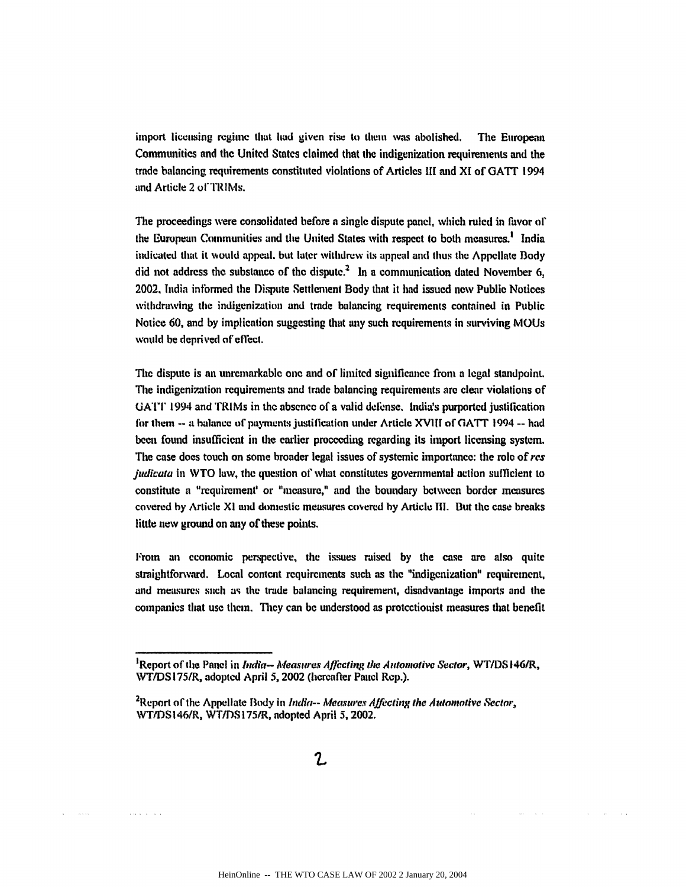import licensing regime that had given rise to **them** was abolished, The European Communities and the United States claimed that the indigenization requirements and the trade balancing requirements constituted violations of Articles **IlI** and **XI** of **GAIT** 1994 and Article 2 of'TIMs.

The proceedings were consolidated before a single dispute panel, which rulcd in favor or the Euronean Communities and the United States with respect to both measures.<sup>1</sup> India indicated that it would appeal, but later withdrew its appeal and thus the Appellate Body did not address the substance of the dispute. <sup>2</sup>**In a** communication dated November **6, 2002, India** informed the Dispute Settlement Body that it **had** issued new Public Notices withdrawing the indigenization and trade balancing requirements contained in Public Notice **60,** and **by** implication suggesting that any such requirements in surviving MOUs would be deprived **of** effect.

The dispute is an unremarkable one and of limited significance from a legal standpoint. The indigenization requirements and trade balancing requirements are clear violations of **GA\*IT** 1994 **and** TRIMs in the absence of a valid defense, lndia's purported justification fir them **--** a balance of payments justification under Article XVIII of **'ATT** 1994 **-- had** been found insufficient in the earlier proceeding regarding its import licensing system. The case does touch on some broader legal issues of systemic importance: the role of *res judicata* in WTO law, the question of what constitutes governmental action sufficient to constitute a "requirement' or **"measure,"** and the boundary **betwccn** border measures covered **by** Article **XI** and domestic measures covered **by** Article **I'l.** But the case breaks little new ground on any of these points.

From an economic perspective, the issues raised **by** the case are also quite straightforward. Local content requirements such as the "indigenization" requirement, and measures such as the trade balancing requirement, disadvantage imports and **the** companics that use them. They can be understood as protectionist measures that benefit

and a series

<sup>&#</sup>x27;Report of the Panel **in** *hidia-- Measures Affecting the Antomotive Sector,* WT/DS **146/R, \VT/DS** I751R, adopted April **5,** 2002 (hereafter Panel Rep.).

<sup>2</sup> Report of the Appellate **Body** in *hidia-- Measures Affecting the Automotive Sector,* **\VT/DS** 146/R, WT/DS 175/R, adopted April **5,** 2002.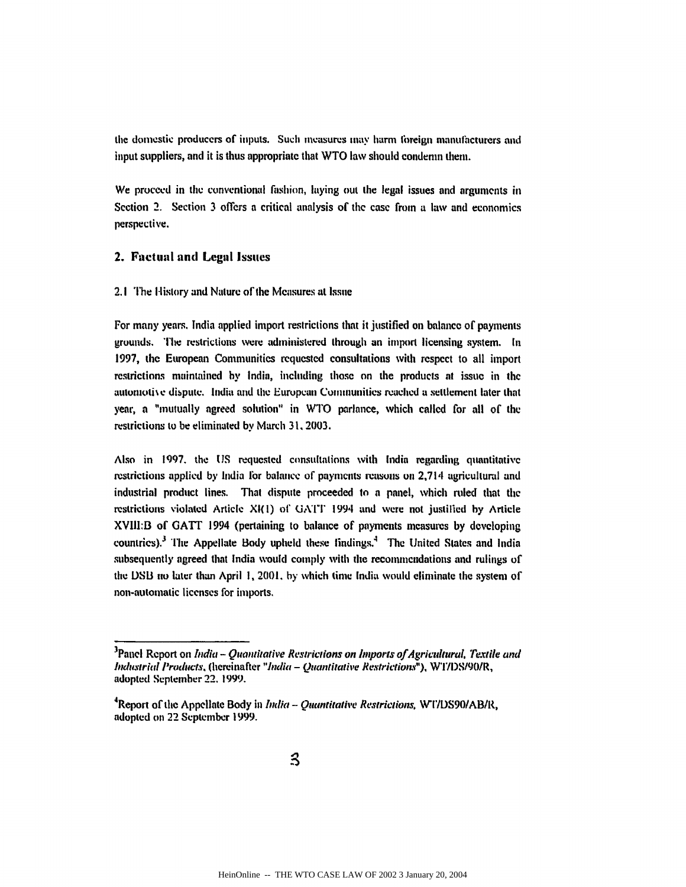the domestic producers of inputs. Such invasurcs may **harm** foreign manufacturers and input suppliers, and it is thus appropriate that WTO law should condemn them.

We proceed in the conventional fashion, laying out the legal issues and arguments in **Section** 2. Section **3** offers **a** critical analysis of **the** case from a law and economics perspective.

#### 2. **Factual and Legal** Issues

2.1 The 1-listory and Nature of the Measures at Issue

**For** many years. India **applied** import restrictions that it justified on balance of payments grounds. **The** restrictions were administered through an import licensing system. In **1997,** the European Communities requested consultations with respect to all import restrictions maintained **by** India, including those on the products at issue in the automotive dispute. India and the European Communities reached a settlement later that year, a "mutually agreed solution" in WTO parlance, which called for **all** of the restrictions to **be** eliminated **by** March *31,* **2003.**

Also in **1997.** the **[IS** requested consultations with India regarding quantitative restrictions **applied by** India for balance of payments **reasuns** on 2,714 agricultural and industrial product lines. That dispute proceeded to **a** panel, which ruled that the restrictions violated Article XIl) of' **UNI'T** 1994 **and** were not justified **by** Article XVIII:13 of **GATT** 1994 (pertaining to balance of payments measures **by** developing countries).<sup>3</sup> The Appellate Body upheld these findings.<sup>4</sup> The United States and India subsequently agreed that India would comply with the recommendations and rulings **of** the **DS13** no later than April **1,** 2001. **by** which time India **would** eliminate the system of non-automatic licenses for imports.

<sup>&</sup>lt;sup>3</sup>Panel Report on *India – Quantitative Restrictions on Imports of Agricultural, Textile and Industrial Products, (hereinafter "India - Quantitative Restrictions"), WT/DS/90/R,* adopted September 22. **1999.**

<sup>4</sup>Report of the Appellate Body in Inia **-** *Quamitative* Restrictions, *WTIDS0AB/tR,* adopted on 22 September **1999.**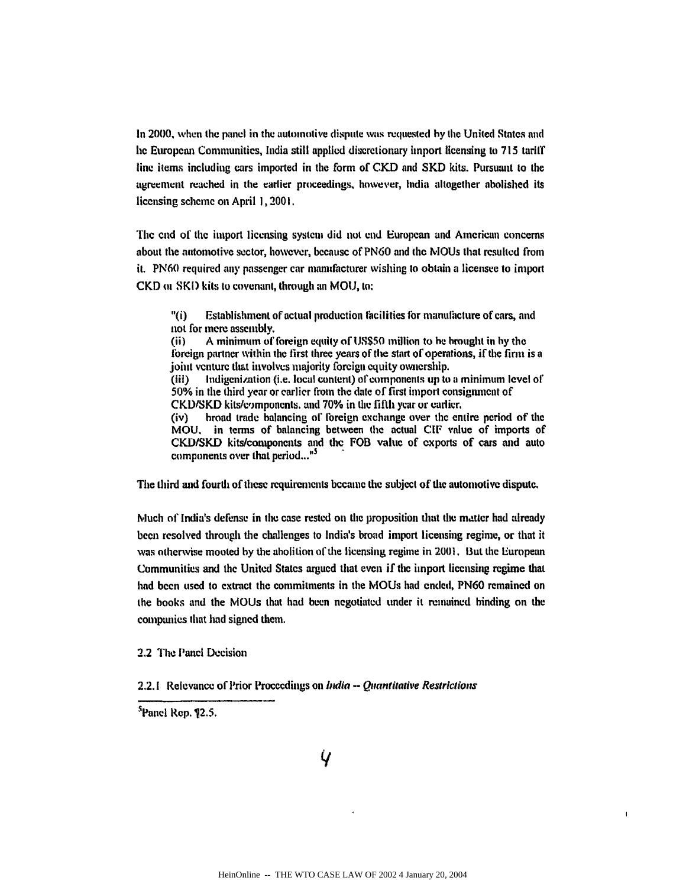In 2000, when the panel in the automotive dispute was requested **by the** United States **and** he European Communities, India still **applied** discretionary import licensing to **715** tariff line items including cars imported in the form of CKD and SKD kits. Pursuant to the agreement reached in the earlier proceedings, however, India altogether abolished its licensing scheme on April **1,** 2001.

**The** end of the import licensing system did not end European and American concerns about the automotive sector, however, because of **PN60** and **the** MOUs that resulted from **it. PN60** required any passenger car manufacturer wishing **to** obtain **a** licensee to import CKD oi SKI) kits to covenant, through an **MOU,** to:

"(i) Establishment of actual production facilities for manufacture of cars, and not for mere assembly.

(ii) **A** minimum oflforeign equity **of 1)J\$50** million to **he** brought in **by** the foreign partner within the first three years of the start of operations, if the firm is **a** joint venture that involves majority foreign equity ownership.

(iii) Indigenization (i.e. local content) ol'components up to a minimum level **of' 50%** in the third year or earlier from the date of first import consignment of CKD/SKD kitslcmponcnts. and **70%** in the fifth year or earlier.

(iv) broad trade balancing **of'** foreign exchange over the entire period of the **MOU.** in terms of balancing between the actual **CIF** value of imports of CKD/SKD kits/componets and **the** FOB value of exports of cars and auto components over that period...<sup>"5</sup>

The third and fourth of these requirements became the subject of the automotive dispute.

Much **of** India's defense in the case rested on the proposition that the matter **had** already been resolved through the challenges to India's broad import licensing regime, or that it was otherwise mooted by the abolition of the licensing regime in 2001. But the European Communities and the United States argued that **even** if the import licensing regime that had been used to extract the commitments in the MOUs had **ended, PN60** remained on the books and the MOUs that had been negotiated under it remained binding on the companies that had signed them.

2.2 The Panel Decision

2.2.1 Relevance of Prior Proceedings *on hdia* **--** *Qiantitative* Restrictions

<sup>5</sup>Panel Rep. ¶2.5.

 $\mathbf{I}$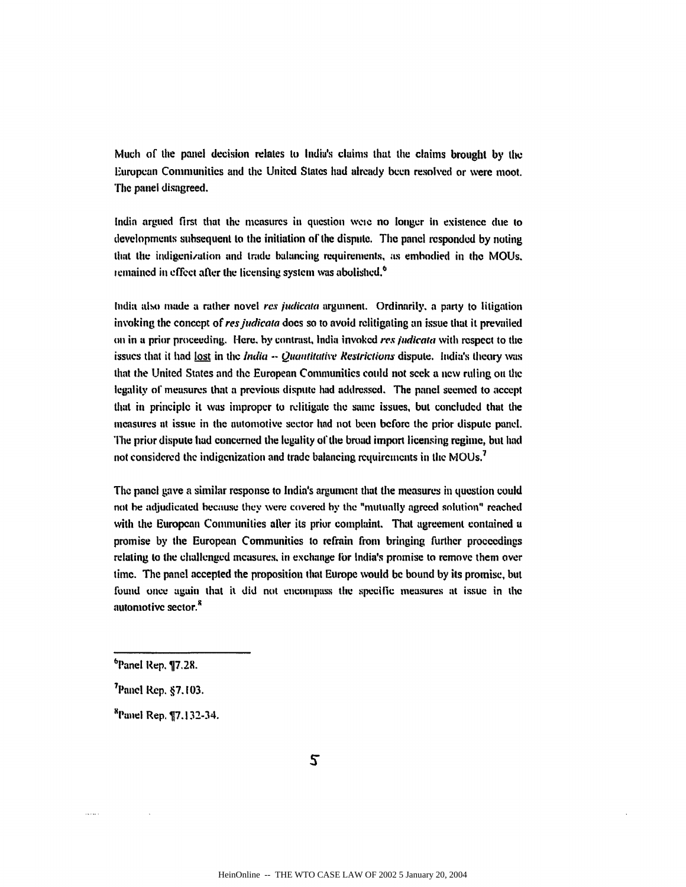Much of the panel decision relates to India's claims that the claims brought by the European Communities and the United States **had** already been resolved or were moot. The panel disagreed.

India argued first that the measures in question **weic** no longer in existence **due** to developments subsequent to the initiation of **ihe** dispute. The panel responded **by** noting that the indigeni/afion and trade balancing requirements, **as** embodied in the MOUs. iemained in effect after the licensing system was abolished. $<sup>6</sup>$ </sup>

India also made a rather novel *res* judicala argument. Ordinarily, **a** party to litigation invoking the concept of *resjudicala* does so to avoid relitigating an issue that it prevailed **on** in **a** prior proceeding. Here, **by** contrast, India invoked *res judicat* vith respect to the issues that it had lost in the *Inoia -- Quantitative* Restrictions dispute. India's theory was that the United States and the European Communities could not seek a new ruling on the legality **of** measures that **a** previous dispute had addressed. The panel seemed to accept that in principle it was improper to relitigate the same issues, but concluded that the **measures** at issue in the automotive sector had not been before the prior dispute panel. The prior dispute had concerned the legality of **the** broad import licensing regime, but had not considered the indigenization and trade balancing requirements in the MOUs.<sup>7</sup>

The panel gave a similar response to India's argument that the measures in question could not he adjudicated because they were covered **by** the "mutually agreed solution" reached with the European Communities after its prior complaint. That agreement contained a promise **by** the European Communities to refrain from bringing further proceedings relating to the challenged measures, in exchange for India's promise to remove them over time. The panel accepted the proposition that Europe would be bound **by** its promise, but found once again that it did not encompass the specific measures at issue in the automotive sector.<sup>8</sup>

 $\ldots$ 

8Panel Rep. **7. 32-34.**

<sup>6</sup>Panel Rep, **7,28.**

<sup>7</sup> Paael Rep. **§7.103.**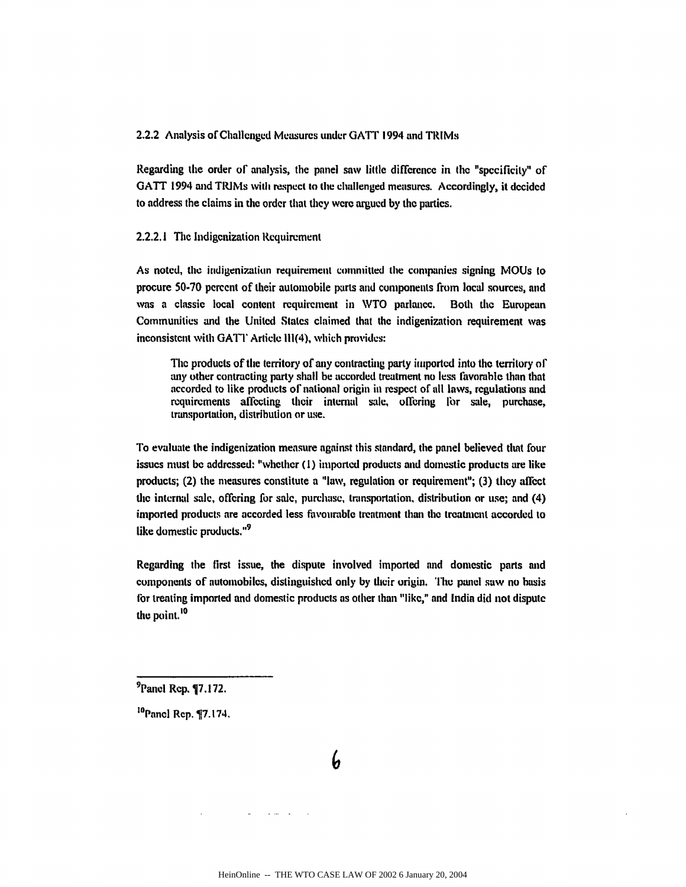#### 2.2.2 Analysis of Challenged Measures under **GATT** 1994 and **TRIMs**

Regarding the order **of** analysis, the panel saw little difference in **the** "specificity" of **GATT** 1994 and TRIMs with respect to the challenged measures. Accordingly, it decided to address the claims in the order that they were argued **by** the parties.

#### 2.2.2.1 The Indigcnization Requirement

As noted, the indigenization requirement committed the companies signing MOUs to procure **50-70** percent of their automobile parts and components from local sources, and **was** a classic local content requirement in WTO parlancc. Both the European Communities and the United States claimed that the indigenization requirement was inconsistent with GATI' Article 111(4), which provides:

The products of the territory of any contracting **party** imported into the territory or any other contracting party **shall be** accorded treatment no less favorable than that accorded to like products of national origin in respect of **all** laws, regulations **and** requirements affecting their internal sale, offering **lbr** sale, purchase, transportation, distribution or use.

To evaluate the indigenization measure against this standard, the panel believed that four issues must be addressed: "whether **(1)** imported products and domestic products are like products; (2) the measures constitute a "law, regulation or requirement"; **(3)** they affect the internal sale, offering for sale, purchase, transportation, distribution or use; and (4) imported products are accorded less favourablo treatment than the treatment accorded to like domestic products."<sup>9</sup>

Regarding the first issue, the dispute involved imported and domestic parts and components of automobiles, distinguished only **by** their origin. **The** panel saw no basis **Ibr** treating imported and domestic products as other than "like," and India did not dispute the point.<sup>10</sup>

9Panel Rep. **7.172.**

<sup>10</sup>Panel Rep. **[7.174.**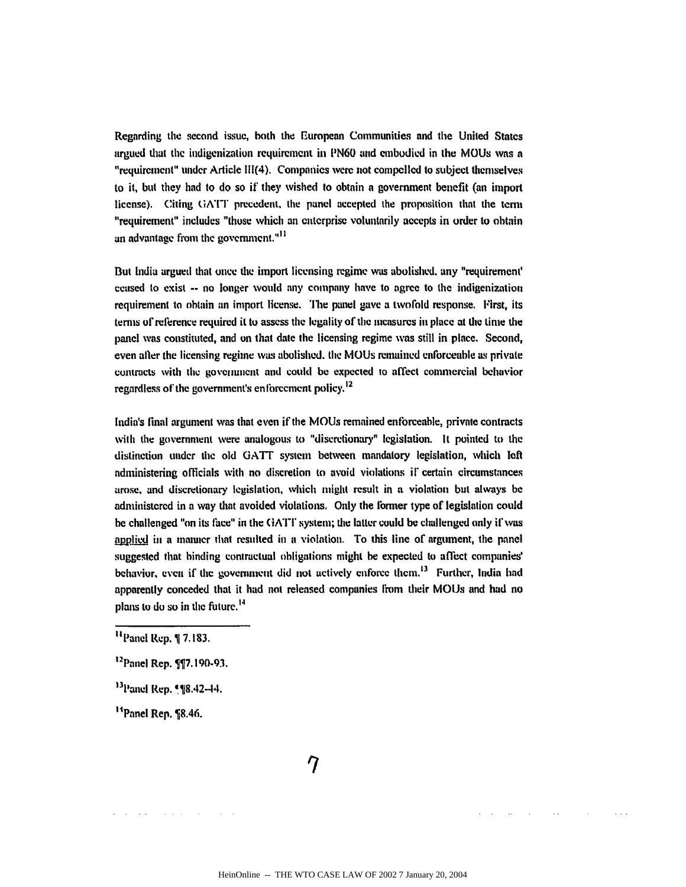Regarding the second issue, both the European Communities and the United States argued that the indigenization requirement in **PN60** and embodied in the MOUs was a "requirement" under Article 111(4). Companies were not compelled to subject themselves to it, **but** they **had** to do so if they wished to obtain **a** government benefit **(an** import license). Citing  $U\Lambda T$  precedent, the panel accepted the proposition that the term "requirement" includes "those which an enterprise voluntarily accepts in order to obtain an advantagc from the governmcnt." **<sup>I</sup> I**

But India argued that once the import licensing regime was abolished, any "requirement' ceased to exist **--** no longer would any company have to agree to the indigenization requirement to obtain an import license. The panel gave a twofold response. First, its terms **of** reference required it to assess the legality of the measures in place at **die** time the panel was constituted, and on that date the licensing regime was still in place. Second, even afler the licensing regime was abolished, **the** MOUs remained enforceable as private contracts with the govcunent and could **be** expected to affect commercial behavior regardless of the government's enlbrccnient **policy.12**

India's final argument was that even if the MOUs remained enforceable, private contracts **with** the government were analogous to "discretionary" legislation. It pointed to the distinction under the old **GATT** system between mandatory legislation, which left administering officials with no discretion to avoid violations if certain circumstances arose, and discretionary legislation, which might result in **a** violation but always **be** administered in **a** way that avoided violations. Only the former type of legislation could **be** challenged "on its face" in the **(A'il'** system; the latter could **be** challenged only if was **applicd in** a mamer that resulted in a violation. To this line **of** argument, the panel suggested that binding contractual obligations might be expected to affect companies' behavior, even **if** the govenunent did not actively enforce them.13 Further, **ludia** had apparently conceded that it had not released companies from their MOUs and had no **plans** to **do so in the** future.1<sup>4</sup>

 $\sim 10^4$  and  $\sim 10^4$ 

<sup>14</sup> Panel Rep. **18.46.** 

<sup>&</sup>quot;1Panel Rep. **11 7.183.**

<sup>&</sup>lt;sup>12</sup>Panel Rep. **117.190-93.** 

<sup>&</sup>lt;sup>13</sup>Pancl Rep. **118.42-44.**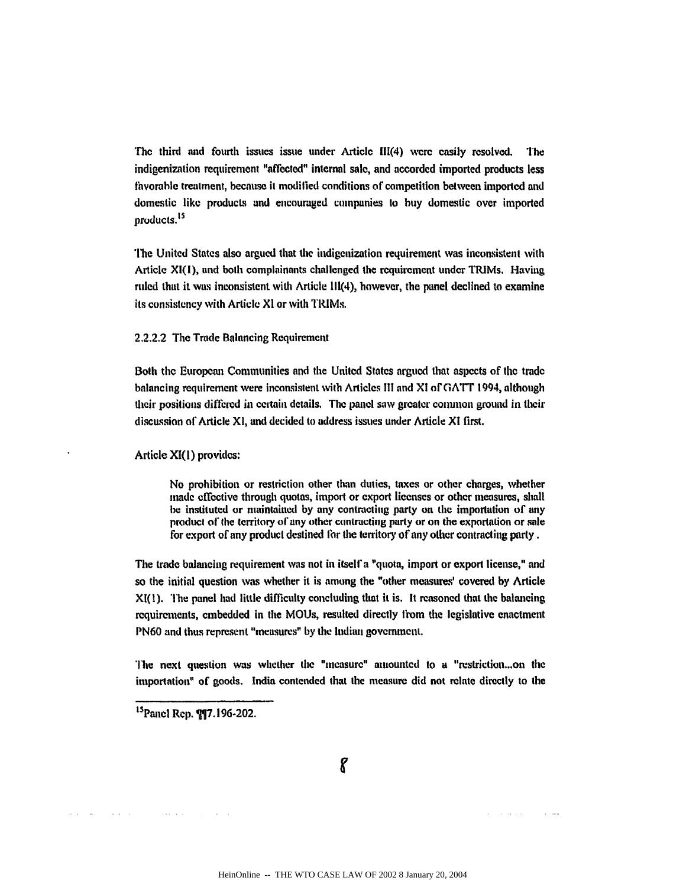The third and fourth issues issue under Article  $III(4)$  were easily resolved. The indigenization requirement "affected" internal sale, and accorded imported products less favorable treatment, because it modified conditions of competition between imported **and** domestic like products and encouraged **companies** to buy domestic over imported products.<sup>15</sup>

Ilie United States also argued that the indigenization requirement was inconsistent with Article XI(I), and both complainants challenged the requirement under TRIMs. Having ruled that it was inconsistent with Article III(4), however, the panel declined to examine its consistency with Article XI or with **TRIMs.**

2.2.2.2 The Trade Balancing Requirement

Both the European Communities and the United States argued that aspects of the trade balancing requirement were inconsistent with Articles **Ill** and XI of GATT 1994, although their positions differed in certain details, The panel saw greater coimnon ground in their discussion **of** Article X1, **and** decided to address issues under Article XI first.

Article XI(I) provides:

No prohibition or restriction other than duties, taxes or other charges, whether made effective through quotas, import or export licenses or other measures, shall **be** instituted or maintained **by** any contracting party on the importation **of** any product of the territory of any other contracting party or on the exportation or sale for export of any product destined for the territory of any other contracting party.

The trade balancing requirement was not in itself a "quota, import or export license," and so the initial question was whether it is among the "other measures' covered **by** Article XI(I). The panel had little difficulty concluding that it is. It reasoned that the balancing requirements, embedded in the MOUs, resulted directly from the legislative enactment **PN60** and thus represent "measures" **by** the Indian government.

The next question was whether the "measure" amounted to **a** "restriction...on the importation" of goods. India contended that the measure did not relate directly to the

<sup>15</sup>Panel Rep. ¶¶7.196-202.

 $\sim$  100  $\sim$  100  $\sim$ 

 $\sim 100$  km s  $^{-1}$ 

 $\mathcal{A}=\mathcal{A}$  ,  $\mathcal{A}=\mathcal{A}$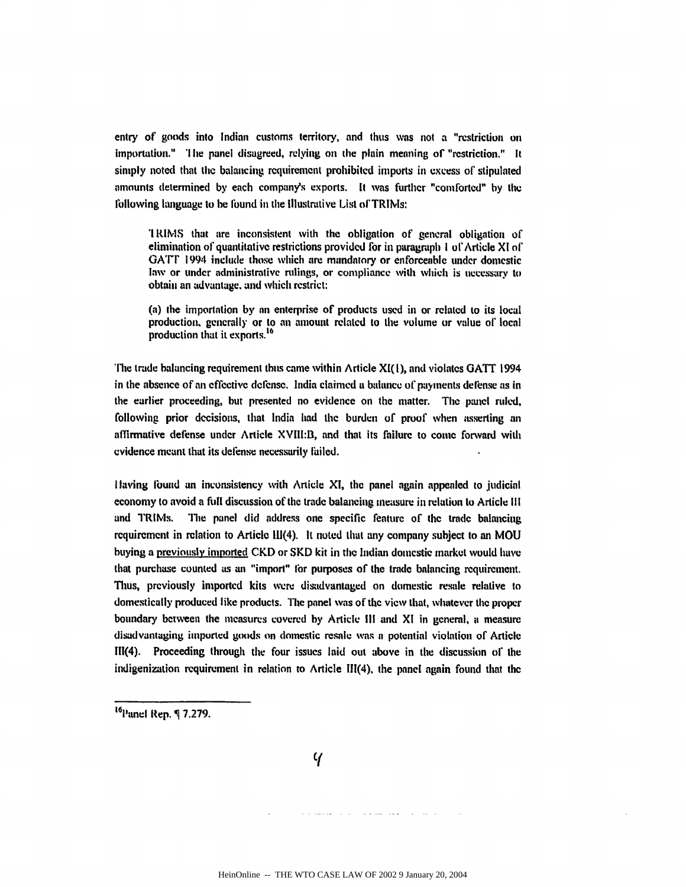entry of goods into Indian customs territory, and thus was not a "rcstriction **on** importation." **'I he** panel disagreed, relying **on** the plain meaning of "restriction," It simply noted that the balancing requirement prohibited imports in excess of stipulated amounts determined **by** each company's exports. It was further "comforted" **by the** Iblowing lauguage to **he** found in the Illustrative List olrTRIMs:

**1** RIMS that are inconsistent with the obligation of general obligation of elimination of quantitative restrictions provided for in puragraph **I** of Article XI **of** GATT 1994 include those which are mandatory or enforceable under domestic law or under administrative rulings, or compliance with which is necessary to obtain an advantage, and which restrict:

**(a)** the importation **by** an enterprise of products used in or related to its local production, generally or to **an** amount related to the volume or value of local production that it exports. **th**

*The* trade balancing requirement thus came within Article XI(I), and violates **GATT** 1994 in the absence of **an** effective defense. India claimed **a** balance of payments delense **as** in the earlier proceeding, but presented no evidence on the matter. The panel ruled, following prior decisions, that India had the burden of proof when asserting an affirmative defense under Article XVIII:B, and that its failure to come forward with evidence meant that its defense necessarily failed.

I laving fbund an inconsistency with Article **XI,** the panel again appealed to judicial economy to avoid a full discussion of the trade balancing measure in relation to Article **Ill** and TRIMs. The panel did address one specific feature of the trade balancing requirement in relation to Article 1I1(4). It noted that any company subject to an **MOU** buying a **previously imported CKD** or SKD kit in the Indian domestic market would have that purchase counted as an "import" for purposes of the trade balancing requirement. Thus, previously imported kits were disadvantaged on domestic resale relative to domestically produced like products. **"lhe panel was** of **the** view that, whatever the proper boundary between the mcasurcs covered **by** Article **Ill** and **XI** in general, a measure disadvantaging imported goods on domestic resale was **a** potential violation of Article 111(4). Proceeding through the four issues laid out above in the discussion of' the indigenization requirement in relation to Article 111(4), the panel again found that the

<sup>16&</sup>lt;sub>l'unel</sub> Rep. ¶ 7.279.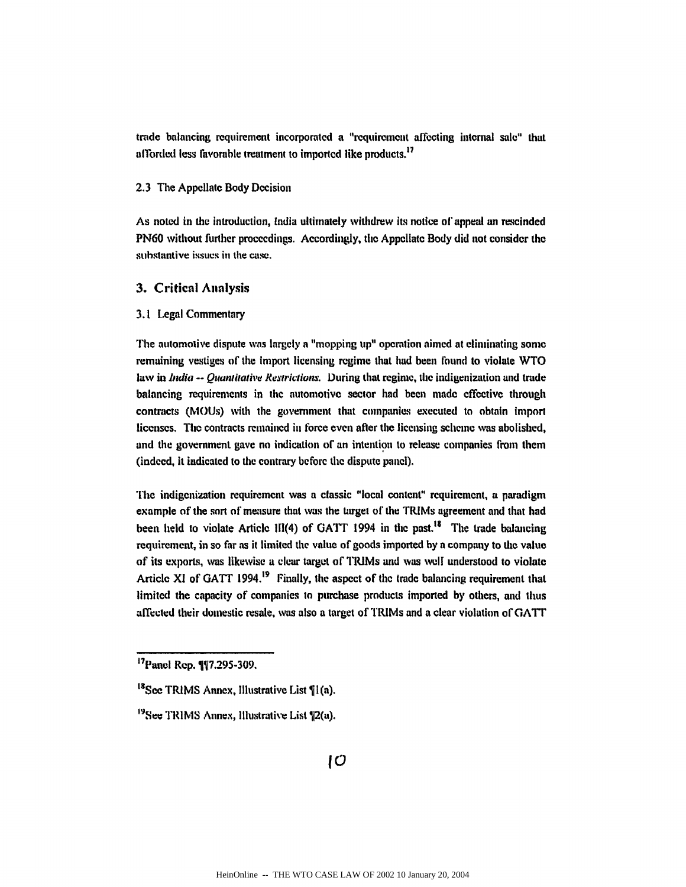trade balancing requirement incorporated a "requirement affecting internal sale" that afforded less favorable treatment to imported like products.<sup>17</sup>

#### **2.3** The Appellate Body Decision

As noted in the introduction, India ultimately withdrew its notice *o"* appeal an rescinded **PN60** without further proceedings. Accordingly, the Appellatc Body did not consider the substantive issues in the case.

#### **3.** Critical Analysis

#### **3.1** Legal Commentary

The automotive dispute was largely **a** "mopping **tip"** operation aimed at eliminating sonic remaining vestiges **of** the import licensing regime that had been found to violate WTO law in *India* **--** *Quantitative Restrictions.* During that regime, the indigenization and trade balancing requirements in the automotive sector **had** been made effective tuough contracts (MOUs) with the government that companies executed to obtain import licenses. The contracts remained in force even after the licensing scheme was abolished, and the government gave no indication of an intention to release companies from them (indeed, it indicated to the contrary before the dispute panel).

The indigenization requirement was a classic "local content" requirement, a paradigm example **of** the sort **of** measure that was the target *o"* the TRIMs agreement and that had been held to violate Article 111(4) of **GATT** 1994 in the past." The trade balancing requirement, in so far as it limited the value of goods imported **by** a company to the value **of** its exports, was likewise **a** clear target **of** TRIMs and was well understood to violate Article XI of GATT 1994.<sup>19</sup> Finally, the aspect of the trade balancing requirement that limited the capacity of companies to purchase products imported **by** others, and thus affected their domestic resale, was also a target of TRIMs and **a** clear violation **of** GATT

<sup>&</sup>lt;sup>17</sup>Panel Rep. ¶¶7.295-309.

<sup>&</sup>lt;sup>18</sup> See TRIMS Annex, Illustrative List **1** *(a)*.

<sup>&</sup>lt;sup>19</sup>See TRIMS Annex, Illustrative List 12(a).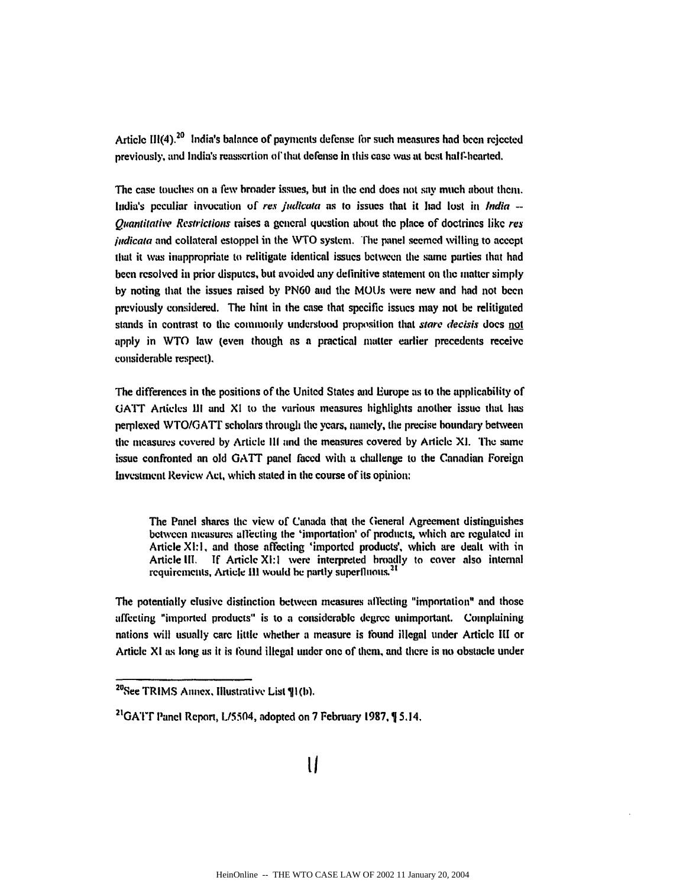Article II1(4).20 India's balance of payments defense **ibr** such measures had been rejected previously, and India's reassertion of that defense in this case was at best half-hearted.

The case touches on a few broader issues, but in **the** end does not say much about them. India's peculiar invocation **of r.s** *juedicala* **as** to issues that it had lust in *India* -- Quantitative Restrictions raises a general question about the place of doctrines like res judicata **and** collateral estoppel in the **WTO** system. The panel seemed willing to accept that it was inappropriate to relitigate identical issues bctween the same parties that **had** been resolved in prior disputes, but avoided any definitive statement on the matter simply **by** noting that the issues raised by **PN60** and the MOUs were new and **had** not been previously considered. The hint in the case that specific issues may not **be** relitigated stands in contrast to the commonly understood proposition that *stare decisis* does not **apply** in WTO **law** (even though as a practical matter earlier precedents receive considerable respect).

The differences in the positions of the United States **and** Europe as to the applicability of **AT** Articles **IlI** and **XI** to the various measures highlights another issue that has perplexed WTO/GATT scholars through the years, namely, the precise boundary between the measures covered **by** Article **Ill** and the measures covered **by** Article **XI. 1he** same issue confronted an old **GATT** panel faced **widi** a challenge to the Canadian Foreign Investment Review Act, which stated in the course of its opinion:

The Panel shares the view of Canada that the General Agreement distinguishes between measures affecting the 'importation' of products, which are regulated in Article Xi:l, and those affecting 'imported products', which are dealt with in Article III. If Article XI:1 were interpreted broadly to cover also internal requirements, Article **III** would be partly superfluous.<sup>21</sup>

The potentially elusive distinction between measures affecting "importation" and those affecting "imported products" is to a considerable degree unimportant. Complaining nations will usually care little whether a measure is found illegal under Article **liI** or Article XI as long as it is found illegal under one of them, and there is no obstacle under

<sup>2</sup>u'See TRIMS Annex, Illustrative List **I (b).**

<sup>21</sup> GAIT Panel Report, **L15504,** adopted on 7 February **1987,** 5.14.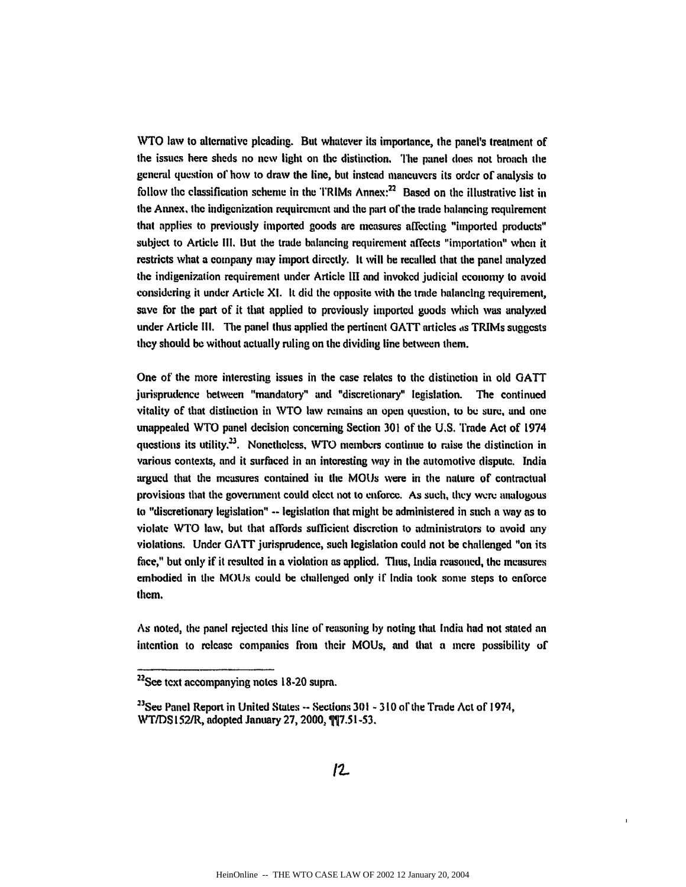WTO law to alternative pleading. But whatever its importance, the panel's treatment of the issues here sheds no new light on the distinction. **The** panel does not broach the general question *ol'* how to draw the line, but instead maneuvers its order of analysis to follow the classification scheme in the TRIMs  $\Delta$ nnex:<sup>22</sup> Based on the illustrative list in the Annex, the indigenization requirement and the part of the trade balancing requirement that applies to previously imported goods are measures affecting "imported products" subject to Article **Ill.** But the trade balancing requirement affects "importation" **when** it restricts what a company may import directly. It will **he** recalled that the panel analyzed the indigenization requirement under Article **III** and invoked judicial economy to avoid considering it under Article Xl. It did the opposite with the trade balancing requirement, save for the part of it that applied to previously imported goods which was analyzed under Article **Ill.** The panel thus applied the pertinent **GATT** articles is TRIMs suggests they should **be** without actually ruling on the dividing line between them.

One **of** the more interesting issues in the case relates to the distinction in old **GATT** jurisprudence between "mandatory" and "discretionary" legislation. The continued vitality of that distinction in **WTO** law remains an open question, to **be** sure, and one unappealed WTO panel decision concerning Section **301** of the **U.S. Trade** Act of 1974 questions its utility.<sup>23</sup>. Nonetheless, WTO members continue to raise the distinction in various contexts, and it surfaced in an interesting way in the automotive dispute. India argued that the measures contained in the MOUs were in the nature of contractual provisions that the govermnent could elect not to enforce. As such, they were analogous to "discretionary legislation" **--** legislation that might be administered in such **a** way as to violate WTO law, but that affords sufficient discretion to administrators to avoid any violations. Under **GATT** jurisprudence, such legislation could not be challenged "on its face," but only if it resulted in a violation as applied. Thus, India reasoned, the measures embodied in the MOUs could be challenged only **if** India took some steps to enforce them.

As noted, the panel rejected this line or reasoning **by** noting that India had not stated an intention to release companies from their MOUs, and that **a** mere possibility **of**

<sup>&</sup>lt;sup>22</sup>See text accompanying notes 18-20 supra.

**<sup>&#</sup>x27;3See** Panel Report in United States **--** Sections **301 - 310** or'the Trade Act of **1974,** WT/DS152/R, adopted January 27, 2000, 117.51-53.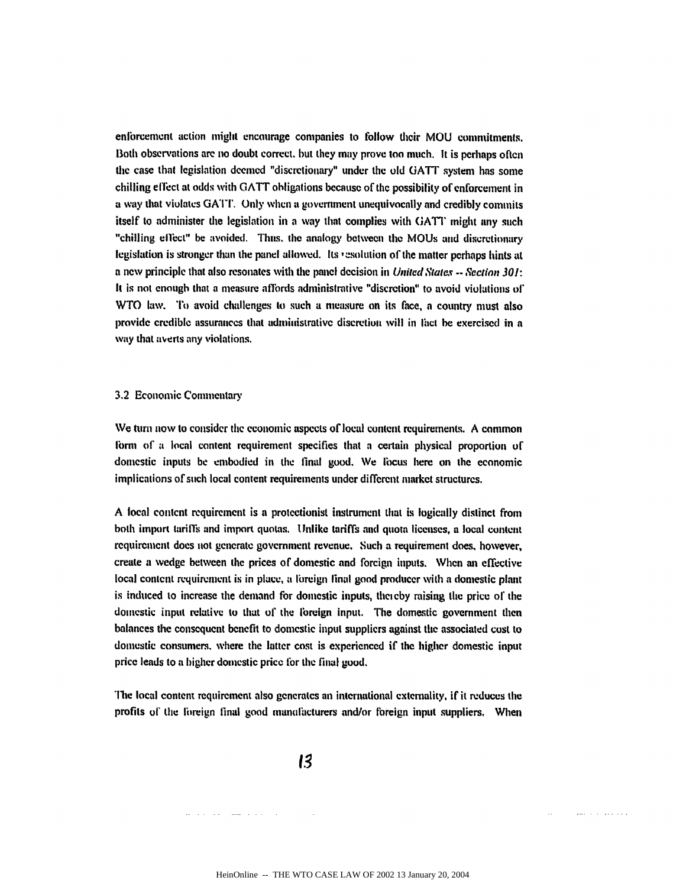enlbrcement action might encourage companies to follow their **MOU** commitments. Both observations are no doubt correct, but they may prove **too** much. It is perhaps often **the** case that legislation deemed "discretionary" under the old **(GATT** system has some chilling effect at odds with GATT obligations because of the possibility of enforcement in **a** way that violatcs **GAT.** Only when a government unequivocally and credibly commits itself to administer the legislation in a way that complies with **GATT** might any such "chilling effect" be avoided. Thus, the analogy between the MOUs and discretionary legislation is stronger than the panel allowed. Its vesolution of the matter perhaps hints at **a new** principle that also resonates with the **panel** decision in Unifed *,'talas -- Section* **301:** It is not enough that **a** measure affords administrative "discretion" to avoid violations **of** WTO law. To avoid challenges to such a measure on its face, a country must also provide credible assurances that administrative discretion will in fact **be** exercised in **a** way that averts any violations.

#### **3.2** Economic Commentary

Ve turn **now** to consider the economic aspects of local content requirements. **A** common form of a local content requirement specifies that a certain physical proportion of domestic inputs **be** embodied in the final good. We fbcus here on the economic implications of such local content requirements under different market structures,

**A** local content requirement is **a** protectionist instrument that is logically distinct from both import tarilfl and import quotas. Unlike tariffs and quota licenses, **a** local content requircmcnt does not generate government revenue. Such a requirement **does.** however, create **a** wedge between the prices of domestic and foreign inputs. When an effective local content requirement is in place, **a** lhreign final **good** producer with **a** domestic plant is induced to increase the demand for domestic inputs, thereby raising the price of the domestic input relative **to** that **of** the foreign input. The domestic government then balances the consequent benefit to domestic input suppliers against the associated cost to domestic consumers, where the latter cost is experienced if the higher domestic input price leads to **a** higher domestic price for the final **good.**

'tie local content requirement also generates an international externality, if it reduces the profits of the foreign final good manufacturers and/or foreign input suppliers. When

13

المنادين والشمار الكفارية والكر

sale of the second con-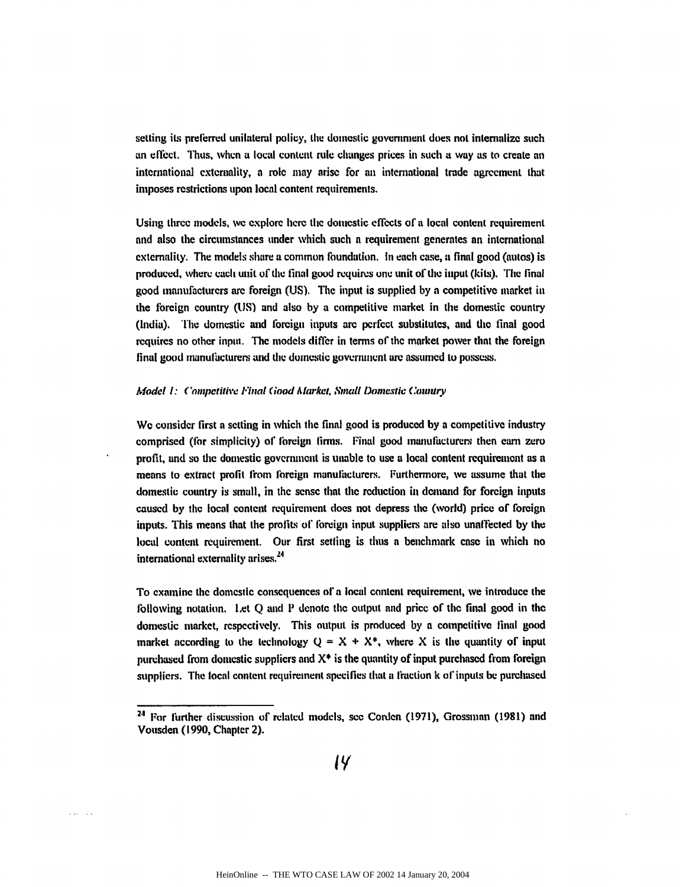setting its preferred unilateral policy, the domestic government does not internalize such an **effct.** Thus, when **a** local content rule changes prices in such a way **as** to create an international externality, a role may arise for an international trade agreement that imposes restrictions upon local content requirements.

Using three models, we explore here the domestic effects of a local content requirement and also the circumstances under which such **a** requirement generates an international externality. The models share a common foundation, **In** each case, **a** final good (autos) is produced, where each unit of the final good requires one unit of the input (kits). The final good manufacturers are foreign **(US),** The input is supplied **by a** competitive market in the foreign country **(US) and** also **by a** competitive market in the domestic country (India). 'Fhe domestic and foreign inputs arc perfect substitutes, **and** the final good requires no other input. The models differ in terms of the market power that the foreign final good manuflacturers and the domestic govertuncnt **ure** assumed to possess.

#### *Model 1: (onmpctitive 1nal Good Aarkel, omidl Dlniestic Country*

We consider first a setting in which the final good is produced **by** a competitive industry comprised (fbr simplicity) of' Ibreign firns. Final good manuflacturers then **earn** zero profit, and so the domestic governnent is unable to use a local content requirement as a means to extract profit from foreign manufacturers. Furthermore, we assume that the domestic country is small, in the sense that **the** reduction in demand for foreign inputs caused **by** the local content requirement does not depress the (world) price of foreign inputs. This means that the profits of lbreign input suppliers are also unaffected **by** the local content requirement. Our first setting is thus a benchmark case in which no international externality arises.<sup>24</sup>

To examine the domestic consequences of a local content requirement, we introduce the following notation. Let **Q** and P denote the output and price of the final good **in** the domestic market, respectively. This output is produced **by** a competitive final good market according to the technology  $Q = X + X^*$ , where X is the quantity of input purchased from domestic suppliers and **X\*** is the quantity of input purchased from foreign suppliers. The local content requirement specifies that a lraction **k** ofinputs **be** purchased

<sup>24</sup> For further discussion of related models, see Corden **(1971),** Grossman **(1981)** and Vousden **(1990,** Chapter 2).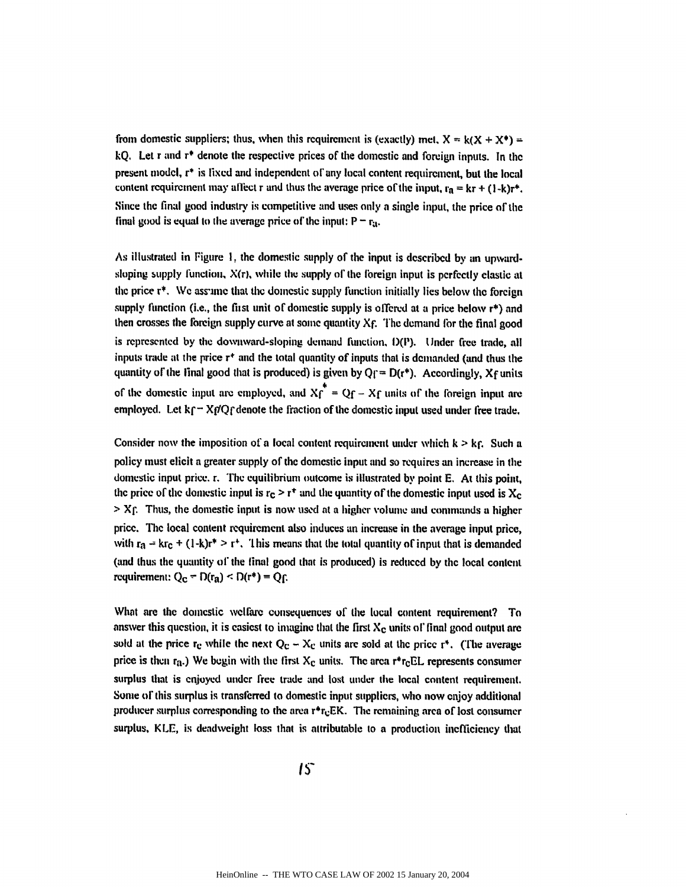from domestic suppliers; thus, when this requirement is (exactly) met,  $X = k(X + X^*) =$ *kQ.* Let r and  $r^*$  denote the respective prices of the domestic and foreign inputs. In the present model, r\* is lixed and independent of any local content requirement, but the local content requirement may affect r and thus the average price of the input,  $r_a = kr + (1-k)r^*$ . Since the final good industry is competitive and uses only **a** single input, the price of the final good is equal to the average price of the input:  $P = r_a$ .

As illustrated in Figure **1,** the domestic supply of the input is described by an upwardsloping supply function,  $X(r)$ , while the supply of the foreign input is perfectly elastic at the price  $r^*$ . We assume that the domestic supply function initially lies below the foreign supply function (i.e., the fiust unit of domestic supply is offered at **a** price below r\*) and then crosses the foreign supply curve at some quantity **Xf.** The demand **lbr** the final good is represented **by** the downward-sloping demand function, **1)(P).** 1 Jnder free trade, all inputs trade at the price  $r^*$  and the total quantity of inputs that is demanded (and thus the quantity of the **final good that is produced**) is given by  $Q_f = D(r^*)$ . Accordingly,  $X_f$  units of the domestic input are employed, and  $X_f^* = Q_f - X_f$  units of the foreign input are employed. Let  $k_f - X_f/Q_f$  denote the fraction of the domestic input used under free trade.

Consider **now** the imposition **of a** local content requirement under which **k > kf.** Such a policy must elicit a greater supply of the domestic input and so requires an increase in the domestic input price. r. The equilibrium outcome is illustrated **by** point **E.** At this point, the price of the domestic input is  $r_c > r^*$  and the quantity of the domestic input used is  $X_c$ **> Xr;** Thus, the domestic input is now used at a higher volume and commands **a** higher price. The local content requirement also induces an increase in the average input price, with  $r_a$  =  $kr_c$  + (1-k) $r^*$  >  $r^*$ . This means that the total quantity of input that is demanded (and thus the quantity of the final good that is produced) is reduced **by** the local content requirement:  $Q_c = D(r_a) \le D(r^*) = Q_f$ .

What are the domestic welfare consequences **of** the local content requirement? To answer this question, it is easiest to imagine that the first  $X_c$  units of final good output are sold at the price  $r_c$  while the next  $Q_c - X_c$  units are sold at the price  $r^*$ . (The average price is thea ra.) We begin with **the** first Xc units. The area r'rcEL represents consumer surplus that is enjoyed under free trade and lost under the local content requirement. Some of this surplus is transferred to domestic input suppliers, who now enjoy additional producer surplus corresponding to the area  $r^*r_cEK$ . The remaining area of lost consumer surplus, KLE, is deadweight loss that is attributable to **a** production inefficiency that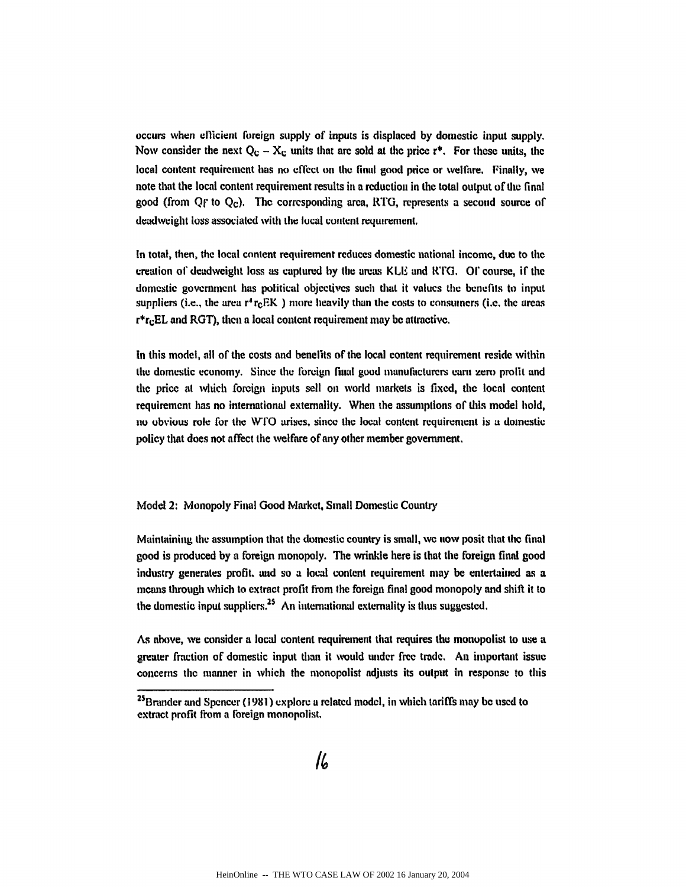occurs when llicient foreign supply of inputs is displaced **by** domestic input supply. Now consider the next  $Q_c - X_c$  units that arc sold at the price  $r^*$ . For these units, the local content requirement has no effect on the final good price or welfare. Finally, we note that the local content requirement results in a reduction in **the** total output **of** the final good (from Qf to Qc). The corresponding area, RTG, represents a second source of deadweight loss associated with the local content requirement.

In total, then, the local content requirement reduces domestic national income, **due** to the creation of deadweight loss as captured **by** the areas KLE and RTG. **O** course, if the domestic government has political objectives such that it values the benefits to input suppliers (i.e., the area r<sup>+</sup>r<sub>C</sub>EK) more heavily than the costs to consumers (i.e. the areas **r'reEL** and RGT), then **a** local content requirement may **be** attractive.

In this model, **all** of the costs and benelits of the local content requirement reside within the domestic economy. Since the foreign final good manufacturers cant zen) profit and **the** price at which foreign inputs sell **on** world markets is fixed, the local content requirement has no international externality. When the assumptions of this model hold, no obvious role for the WTO arises, since the local content requirement is a domestic policy that does not affect the welfare of any other member government.

#### Model 2: Monopoly Final Good Markct, Small Domestic Country

Maintaining the assumption that the domestic country is small, we now posit that the final good is produced **by** a foreign monopoly. The wrinkle here is that the foreign final good industry generates profit. and so a local content requirement may **be** entertained as a means through which to extract profit from the foreign final good monopoly and shift it to the domestic input suppliers.<sup>25</sup> An international externality is thus suggested.

As above, **we** consider **a** local content requirement that requires the monopolist to use a greater fraction of domestic input than it would under free trade. An important issue concerns the manner in which the monopolist adjusts its output in response to this

<sup>25</sup> Brander and Spencer **(198 1)** explore a related model, in which tariffs may **be used** to extract profit from a foreign monopolist.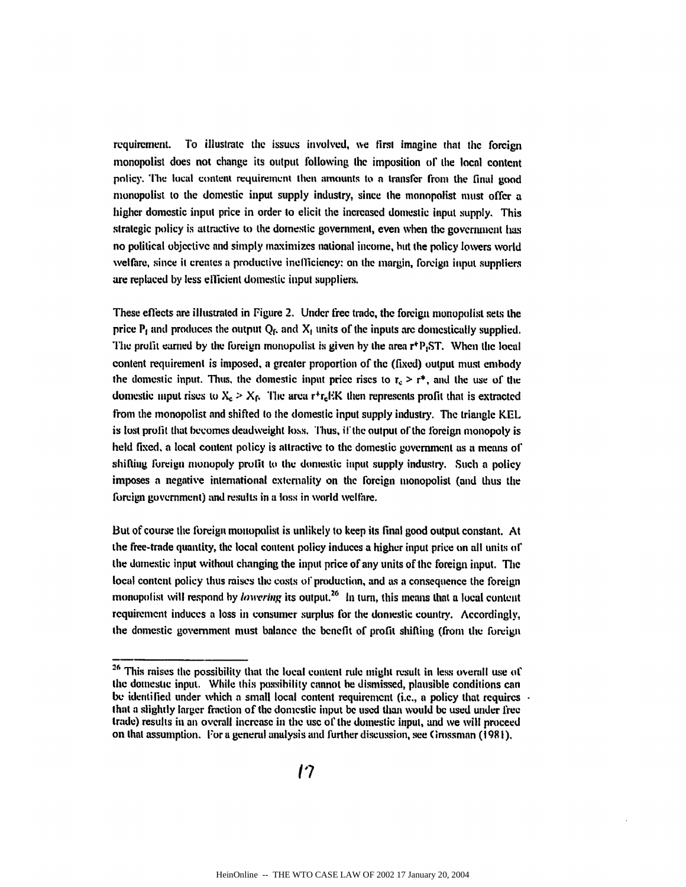requirement. To illustrate the issues involved, **%ve** first imagine that the foreign monopolist does not change its output following the imposition of the local content policy. The local content requirement **then** amounts to **a** transfer from the final good monopolist to the domestic input supply industry, since the monopolist must offer a higher domestic input price in order to elicit the increased domestic input supply. This strategic policy is attractive to the domestic government, even when the government has no political objective and simply maximizes national income, but the policy lowers world velfare, since it creates a productive inetliciency: on **the** margin, foreign input suppliers are replaced **by** less efficient domestic input suppliers.

These effects are illustrated in Figure 2. Under free trade, **the** foreign monopolist sets the price  $P_t$  and produces the output  $Q_f$ , and  $X_t$  units of the inputs arc domestically supplied. **The** profit earned **by** the foreign monopolist is given **by** the area r\*PST. When tile local content requirement is imposed, a greater proportion of the (fixed) output must embody the domestic input. Thus, the domestic input price rises to  $r_c > r^*$ , and the use of the domestic input rises to  $X_c \geq X_f$ . The area r<sup>+</sup>r<sub>c</sub>EK then represents profit that is extracted from the monopolist and shifted to the domestic input supply industry. The triangle KEL is lost profit that becomes deadweight loss. Thus, if the output of the foreign monopoly is held fixed, **a** local content policy is attractive to the domestic government as **a** means of shifting foreign monopoly profit to the domestic input supply industry. Such **a** policy imposes **a** negative international externality on the foreign monopolist (and thus **the** foreign government) and results in a loss in world velfhre.

But of course the foreign monopolist is unlikely to keep its **final** good output constant. At the free-trade quantity, the local content policy induces a higher input price on all **traits** of' the domestic input without changing the input price of any units of the foreign input. The local content policy thus raises the costs of production, and as a consequence the foreign monopolist will respond **by** *lowiering* its output.26 In turn, this means that a local content requiremcnt induces **a** loss in consumer surplus for the domestic country. Accordingly, the domestic government must balance the benefit of profit shifting **(from the** foreign

<sup>&</sup>lt;sup>26</sup> This raises the possibility that the local content rule might result in less overall use of the domestic input. While this possibility cannot **be** dismissed, plausible conditions can **be** identified under which a small local content requirement (i.e., a policy that requires that a slightly larger fraction of the domestic input **be** used than would be used under free trade) results in **an** overall increase in the use of the domestic input, and we will proceed on that assumption. **For a** general analysis and further discussion, see Grossman **(198 1).**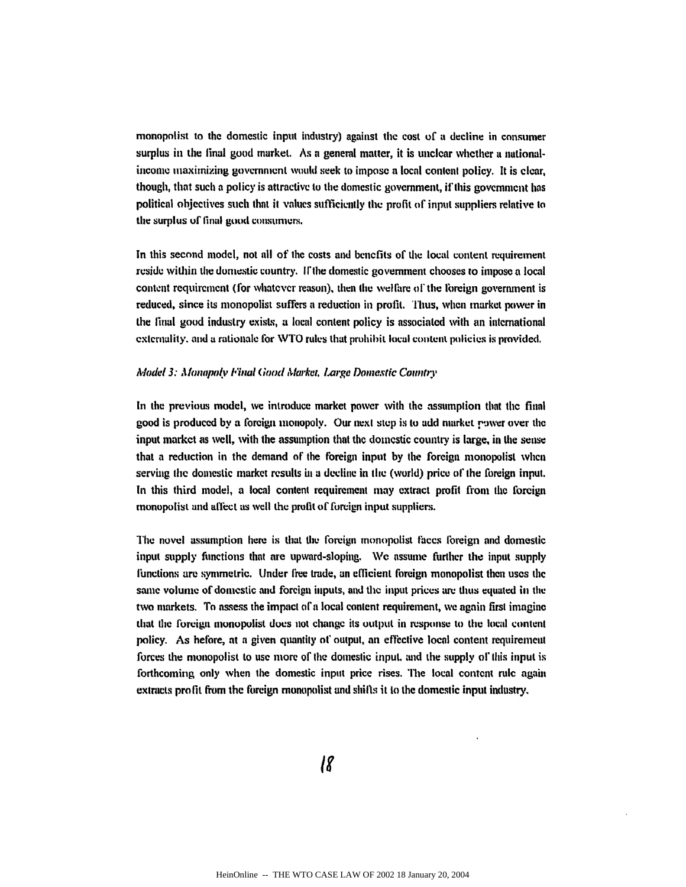monopolist to the domestic input industry) against the cost **of a** decline in consumer surplus in the final good market. As a general matter, it is unclear whether **a** nationalincome maximizing government would seek to impose a local content policy. It is clear, though, that such a policy is attractive to the domestic government, if this government has political objectives such that it values sufficiently the profit of input suppliers relative to the surplus of final good consumers.

In this second model, not **all** of the costs and benefits of the local content requirement reside within the domestic country. If the domestic government chooses to impose a local content requirement (for whatever reason), then the welfrare *o"* the lbreign government is reduced, since its monopolist suffers a reduction in profit. Thus, when market power in the final good industry exists, a local content policy is associated with an international externality, and a rationale for **WTO** rules that prohibit **local** content policies is provided.

#### *Model* **3:** *Monopoly Final (ond Markei Large Domestic* **Countr,**

In the previous model, we introduce market power with the assumption that the **final** good is produced by a foreign monopoly. Our next step is to add market rower over the input market as **well,** with the assumption that the domestic country is large, in the sense that **a** reduction in the demand **of** the foreign input **by** the foreign monopolist when serving the domestic market results in a decline in the (world) price of the foreign input. **In** this third model, a local content requirement may extract profit from the foreign monopolist and affect as well the profit of foreign input suppliers.

1he novel assumption here is that the foreign monopolist faces lbreign and domestic **input** supply functions that are upward-sloping, We assume further the input supply functions are symmetric. Under free trade, an efficient foreign monopolist then uses the same volume of domestic aid foreign inputs, and the input prices **are** thus equated **in the** two markets. To assess the impact **of a** local content requirement, **we** again first imagine that the forciga monopolist does not change its output in response to the local content policy. As before, at a given quantity of output, **an** eftective local content requirement forces the monopolist to use more of the domestic input, and the supply of this input is forthcoming only when the domestic input price rises. The local content rule again extracts profit from the foreign monuopulist and shills it to the domestic input industry.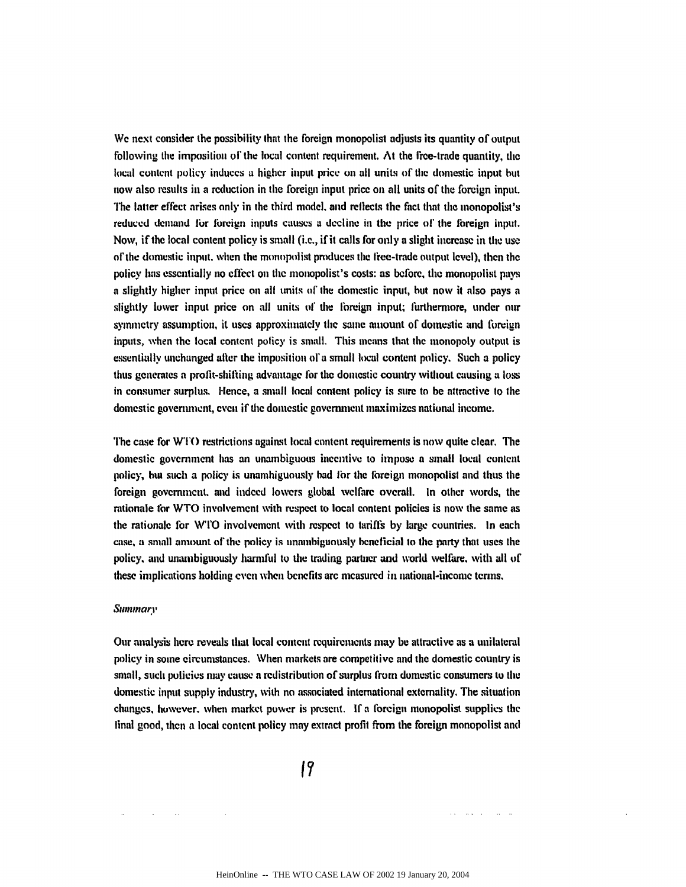We next consider the possibility **that** the foreign monopolist adjusts its quantity of output following the imposition **of** the local content requirement, **At** the free-trade quantity, **the** local content policy induces a higher input price on all units **of** the domestic input **but** now also results in a reduction in the foreign input **price on** all units of the foreign input. Ihe latter effect arises only in the third model, and reflects the fact that the monopolist's reduced demand for foreign inputs causes a decline in the price of the foreign input. Now, if the local content policy is small (i.e., if it calls for only a slight increase **in** the use of the domestic input, when the monopolist produces the free-trade output level), then the policy has essentially no effect **on the** monopolist's costs: as before, the monopolist pays a slightly higher input price on **all** units of the domestic input, **hut now** it also pays **a** slightly lower input price on all units of the foreign input; furthermore, under our symmetry assumption, it uses approximately the **same** amount of domestic and foreign inputs, when the local content policy is small. This means that the monopoly output is essentially unchanged after the imposition **ol'a** small local content policy. Such **a** policy thus generates a profit-shilting advantage for the domestic country without causing a loss in consumer surplus. Hence, a small local content policy is sure to be attractive to the domestic govennent, even if the domestic government maximizes national income.

**The** case for **WTO** restrictions against local content requirements is **now** quite clear, The domestic government has an unambiguous incentive to impose **a** small local content policy, but such a policy is unambiguously **bad** fior the foreign monopolist and thus the foreign government, and indeed lowers global welfare overall. In other words, the rationale **tor** WTO involvement with respect to local content policies is now the same as the rationale for *WTl'O* involvement with respect to tariffs **by** large countries. In each case, a small amount of the policy is unambiguously beneficial **to** the party that uses the policy, and unambiguously harmful to the trading partner and world welfare, with **all** of these implications holding even when benefits arc measured in national-income terms.

#### *Sulimar'*

**Contract Contract** 

Our analysis here reveals that local content requirements may be attractive as **a** unilateral policy in some circumstances. When markets **are** competitive and the domestic country is small, such policies may cause a redistribution of surplus from domestic consumers to the domestic input supply industry, with no associated international externality. The situation changes, however. when market power is present. **If a** foreign monopolist supplies **the** final good, then **a** local content policy may extract profit from the foreign monopolist and

 $19$ 

as as a comp